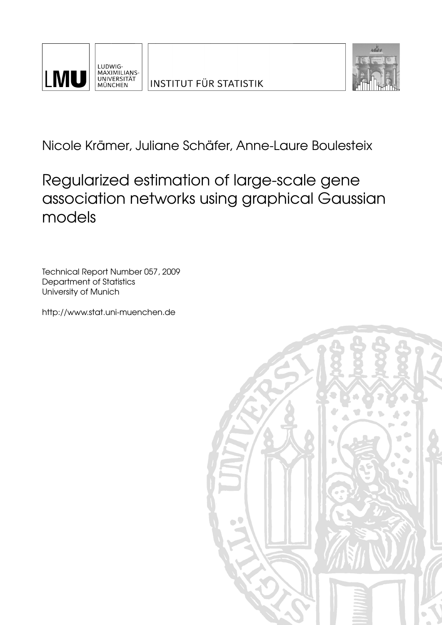



Nicole Krämer, Juliane Schäfer, Anne-Laure Boulesteix

# Regularized estimation of large-scale gene association networks using graphical Gaussian models

Technical Report Number 057, 2009 Department of Statistics University of Munich

[http://www.stat.uni-muenchen.de](http://www.stat.uni-muenchen.de/)

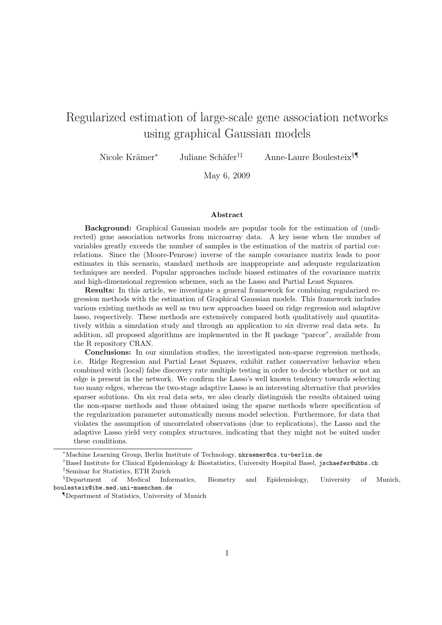## Regularized estimation of large-scale gene association networks using graphical Gaussian models

Nicole Krämer<sup>∗</sup> Juliane Schäfer<sup>†‡</sup> Anne-Laure Boulesteix<sup>§¶</sup>

May 6, 2009

#### Abstract

Background: Graphical Gaussian models are popular tools for the estimation of (undirected) gene association networks from microarray data. A key issue when the number of variables greatly exceeds the number of samples is the estimation of the matrix of partial correlations. Since the (Moore-Penrose) inverse of the sample covariance matrix leads to poor estimates in this scenario, standard methods are inappropriate and adequate regularization techniques are needed. Popular approaches include biased estimates of the covariance matrix and high-dimensional regression schemes, such as the Lasso and Partial Least Squares.

Results: In this article, we investigate a general framework for combining regularized regression methods with the estimation of Graphical Gaussian models. This framework includes various existing methods as well as two new approaches based on ridge regression and adaptive lasso, respectively. These methods are extensively compared both qualitatively and quantitatively within a simulation study and through an application to six diverse real data sets. In addition, all proposed algorithms are implemented in the R package "parcor", available from the R repository CRAN.

Conclusions: In our simulation studies, the investigated non-sparse regression methods, i.e. Ridge Regression and Partial Least Squares, exhibit rather conservative behavior when combined with (local) false discovery rate multiple testing in order to decide whether or not an edge is present in the network. We confirm the Lasso's well known tendency towards selecting too many edges, whereas the two-stage adaptive Lasso is an interesting alternative that provides sparser solutions. On six real data sets, we also clearly distinguish the results obtained using the non-sparse methods and those obtained using the sparse methods where specification of the regularization parameter automatically means model selection. Furthermore, for data that violates the assumption of uncorrelated observations (due to replications), the Lasso and the adaptive Lasso yield very complex structures, indicating that they might not be suited under these conditions.

<sup>∗</sup>Machine Learning Group, Berlin Institute of Technology, nkraemer@cs.tu-berlin.de

<sup>†</sup>Basel Institute for Clinical Epidemiology & Biostatistics, University Hospital Basel, jschaefer@uhbs.ch ‡Seminar for Statistics, ETH Zurich

<sup>§</sup>Department of Medical Informatics, Biometry and Epidemiology, University of Munich, boulesteix@ibe.med.uni-muenchen.de

<sup>¶</sup>Department of Statistics, University of Munich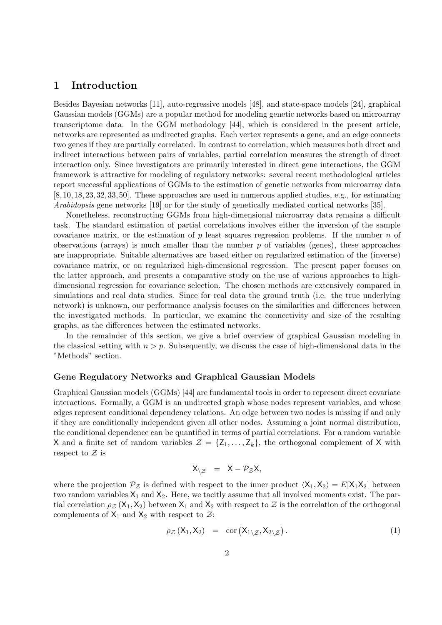## 1 Introduction

Besides Bayesian networks [11], auto-regressive models [48], and state-space models [24], graphical Gaussian models (GGMs) are a popular method for modeling genetic networks based on microarray transcriptome data. In the GGM methodology [44], which is considered in the present article, networks are represented as undirected graphs. Each vertex represents a gene, and an edge connects two genes if they are partially correlated. In contrast to correlation, which measures both direct and indirect interactions between pairs of variables, partial correlation measures the strength of direct interaction only. Since investigators are primarily interested in direct gene interactions, the GGM framework is attractive for modeling of regulatory networks: several recent methodological articles report successful applications of GGMs to the estimation of genetic networks from microarray data [8, 10, 18, 23, 32, 33, 50]. These approaches are used in numerous applied studies, e.g., for estimating Arabidopsis gene networks [19] or for the study of genetically mediated cortical networks [35].

Nonetheless, reconstructing GGMs from high-dimensional microarray data remains a difficult task. The standard estimation of partial correlations involves either the inversion of the sample covariance matrix, or the estimation of p least squares regression problems. If the number  $n$  of observations (arrays) is much smaller than the number  $p$  of variables (genes), these approaches are inappropriate. Suitable alternatives are based either on regularized estimation of the (inverse) covariance matrix, or on regularized high-dimensional regression. The present paper focuses on the latter approach, and presents a comparative study on the use of various approaches to highdimensional regression for covariance selection. The chosen methods are extensively compared in simulations and real data studies. Since for real data the ground truth (i.e. the true underlying network) is unknown, our performance analysis focuses on the similarities and differences between the investigated methods. In particular, we examine the connectivity and size of the resulting graphs, as the differences between the estimated networks.

In the remainder of this section, we give a brief overview of graphical Gaussian modeling in the classical setting with  $n > p$ . Subsequently, we discuss the case of high-dimensional data in the "Methods" section.

#### Gene Regulatory Networks and Graphical Gaussian Models

Graphical Gaussian models (GGMs) [44] are fundamental tools in order to represent direct covariate interactions. Formally, a GGM is an undirected graph whose nodes represent variables, and whose edges represent conditional dependency relations. An edge between two nodes is missing if and only if they are conditionally independent given all other nodes. Assuming a joint normal distribution, the conditional dependence can be quantified in terms of partial correlations. For a random variable X and a finite set of random variables  $\mathcal{Z} = \{Z_1, \ldots, Z_k\}$ , the orthogonal complement of X with respect to  $Z$  is

$$
X_{\setminus \mathcal{Z}} \;\; = \;\; X - \mathcal{P}_{\mathcal{Z}} X,
$$

where the projection  $\mathcal{P}_z$  is defined with respect to the inner product  $\langle X_1, X_2 \rangle = E[X_1X_2]$  between two random variables  $X_1$  and  $X_2$ . Here, we tacitly assume that all involved moments exist. The partial correlation  $\rho_Z(X_1, X_2)$  between  $X_1$  and  $X_2$  with respect to  $\mathcal Z$  is the correlation of the orthogonal complements of  $X_1$  and  $X_2$  with respect to  $\mathcal{Z}$ :

$$
\rho_{\mathcal{Z}}\left(X_1,X_2\right) = \text{cor}\left(X_{1\setminus\mathcal{Z}},X_{2\setminus\mathcal{Z}}\right). \tag{1}
$$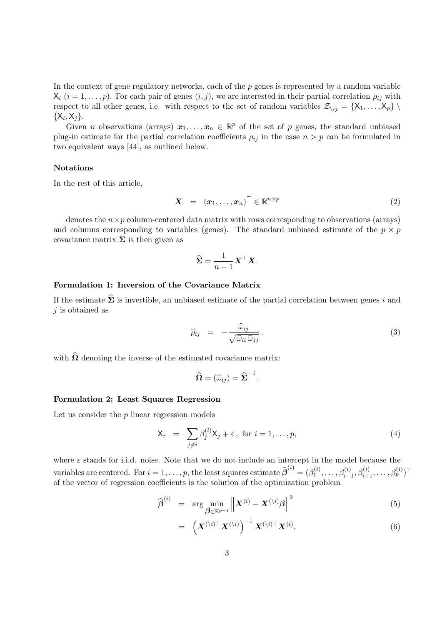In the context of gene regulatory networks, each of the  $p$  genes is represented by a random variable  $X_i$   $(i = 1, \ldots, p)$ . For each pair of genes  $(i, j)$ , we are interested in their partial correlation  $\rho_{ij}$  with respect to all other genes, i.e. with respect to the set of random variables  $\mathcal{Z}_{\setminus ij} = {\mathsf{X}_1, \ldots, \mathsf{X}_p}$  $\{X_i, X_j\}.$ 

Given *n* observations (arrays)  $x_1, \ldots, x_n \in \mathbb{R}^p$  of the set of *p* genes, the standard unbiased plug-in estimate for the partial correlation coefficients  $\rho_{ij}$  in the case  $n > p$  can be formulated in two equivalent ways [44], as outlined below.

#### Notations

In the rest of this article,

$$
\mathbf{X} = (\mathbf{x}_1, \dots, \mathbf{x}_n)^\top \in \mathbb{R}^{n \times p} \tag{2}
$$

denotes the  $n \times p$  column-centered data matrix with rows corresponding to observations (arrays) and columns corresponding to variables (genes). The standard unbiased estimate of the  $p \times p$ covariance matrix  $\Sigma$  is then given as

$$
\widehat{\mathbf{\Sigma}} = \frac{1}{n-1} \mathbf{X}^\top \mathbf{X}.
$$

#### Formulation 1: Inversion of the Covariance Matrix

If the estimate  $\hat{\Sigma}$  is invertible, an unbiased estimate of the partial correlation between genes i and  $j$  is obtained as

$$
\widehat{\rho}_{ij} = -\frac{\widehat{\omega}_{ij}}{\sqrt{\widehat{\omega}_{ii}\,\widehat{\omega}_{jj}}}.
$$
\n(3)

with  $\widehat{\Omega}$  denoting the inverse of the estimated covariance matrix:

$$
\widehat{\mathbf{\Omega}}=(\widehat{\omega}_{ij})=\widehat{\boldsymbol{\Sigma}}^{-1}
$$

.

#### Formulation 2: Least Squares Regression

Let us consider the  $p$  linear regression models

$$
\mathsf{X}_{i} = \sum_{j \neq i} \beta_{j}^{(i)} \mathsf{X}_{j} + \varepsilon, \text{ for } i = 1, ..., p,
$$
\n
$$
(4)
$$

where  $\varepsilon$  stands for i.i.d. noise. Note that we do not include an intercept in the model because the variables are centered. For  $i = 1, ..., p$ , the least squares estimate  $\widehat{\boldsymbol{\beta}}^{(i)} = (\beta_1^{(i)})$  $\beta_{i}^{(i)}, \ldots, \beta_{i-1}^{(i)}, \beta_{i+1}^{(i)}, \ldots, \beta_{p}^{(i)})^{\top}$ of the vector of regression coefficients is the solution of the optimization problem

$$
\widehat{\boldsymbol{\beta}}^{(i)} = \arg \min_{\boldsymbol{\beta} \in \mathbb{R}^{p-1}} \left\| \boldsymbol{X}^{(i)} - \boldsymbol{X}^{(\backslash i)} \boldsymbol{\beta} \right\|^2 \tag{5}
$$

$$
= \left( \boldsymbol{X}^{(\backslash i) \top} \boldsymbol{X}^{(\backslash i)} \right)^{-1} \boldsymbol{X}^{(\backslash i) \top} \boldsymbol{X}^{(i)}, \tag{6}
$$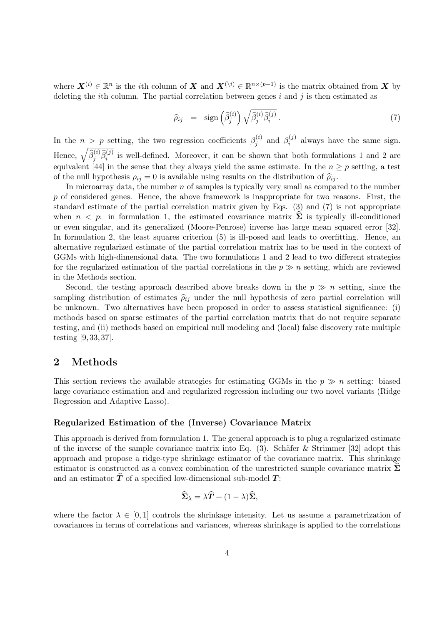where  $X^{(i)} \in \mathbb{R}^n$  is the *i*th column of X and  $X^{(\n)} \in \mathbb{R}^{n \times (p-1)}$  is the matrix obtained from X by deleting the *i*th column. The partial correlation between genes i and j is then estimated as

$$
\widehat{\rho}_{ij} = \text{sign}\left(\widehat{\beta}_j^{(i)}\right) \sqrt{\widehat{\beta}_j^{(i)} \widehat{\beta}_i^{(j)}}. \tag{7}
$$

In the  $n > p$  setting, the two regression coefficients  $\beta_i^{(i)}$  $\beta_j^{(i)}$  and  $\beta_i^{(j)}$  $i_i^{(J)}$  always have the same sign. Hence,  $\sqrt{\hat{\beta}_j^{(i)}\hat{\beta}_i^{(j)}}$  is well-defined. Moreover, it can be shown that both formulations 1 and 2 are equivalent [44] in the sense that they always yield the same estimate. In the  $n \geq p$  setting, a test of the null hypothesis  $\rho_{ij} = 0$  is available using results on the distribution of  $\hat{\rho}_{ij}$ .

In microarray data, the number  $n$  of samples is typically very small as compared to the number  $p$  of considered genes. Hence, the above framework is inappropriate for two reasons. First, the standard estimate of the partial correlation matrix given by Eqs. (3) and (7) is not appropriate when  $n \leq p$ : in formulation 1, the estimated covariance matrix  $\Sigma$  is typically ill-conditioned or even singular, and its generalized (Moore-Penrose) inverse has large mean squared error [32]. In formulation 2, the least squares criterion (5) is ill-posed and leads to overfitting. Hence, an alternative regularized estimate of the partial correlation matrix has to be used in the context of GGMs with high-dimensional data. The two formulations 1 and 2 lead to two different strategies for the regularized estimation of the partial correlations in the  $p \gg n$  setting, which are reviewed in the Methods section.

Second, the testing approach described above breaks down in the  $p \gg n$  setting, since the sampling distribution of estimates  $\hat{\rho}_{ij}$  under the null hypothesis of zero partial correlation will be unknown. Two alternatives have been proposed in order to assess statistical significance: (i) methods based on sparse estimates of the partial correlation matrix that do not require separate testing, and (ii) methods based on empirical null modeling and (local) false discovery rate multiple testing [9, 33, 37].

## 2 Methods

This section reviews the available strategies for estimating GGMs in the  $p \gg n$  setting: biased large covariance estimation and and regularized regression including our two novel variants (Ridge Regression and Adaptive Lasso).

#### Regularized Estimation of the (Inverse) Covariance Matrix

This approach is derived from formulation 1. The general approach is to plug a regularized estimate of the inverse of the sample covariance matrix into Eq.  $(3)$ . Schäfer & Strimmer [32] adopt this approach and propose a ridge-type shrinkage estimator of the covariance matrix. This shrinkage estimator is constructed as a convex combination of the unrestricted sample covariance matrix  $\Sigma$ and an estimator  $\hat{T}$  of a specified low-dimensional sub-model  $T$ :

$$
\widehat{\boldsymbol{\Sigma}}_{\lambda} = \lambda \widehat{\boldsymbol{T}} + (1 - \lambda) \widehat{\boldsymbol{\Sigma}},
$$

where the factor  $\lambda \in [0, 1]$  controls the shrinkage intensity. Let us assume a parametrization of covariances in terms of correlations and variances, whereas shrinkage is applied to the correlations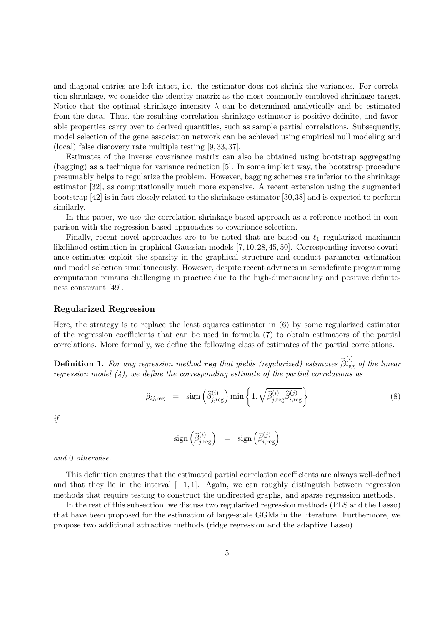and diagonal entries are left intact, i.e. the estimator does not shrink the variances. For correlation shrinkage, we consider the identity matrix as the most commonly employed shrinkage target. Notice that the optimal shrinkage intensity  $\lambda$  can be determined analytically and be estimated from the data. Thus, the resulting correlation shrinkage estimator is positive definite, and favorable properties carry over to derived quantities, such as sample partial correlations. Subsequently, model selection of the gene association network can be achieved using empirical null modeling and (local) false discovery rate multiple testing [9, 33, 37].

Estimates of the inverse covariance matrix can also be obtained using bootstrap aggregating (bagging) as a technique for variance reduction [5]. In some implicit way, the bootstrap procedure presumably helps to regularize the problem. However, bagging schemes are inferior to the shrinkage estimator [32], as computationally much more expensive. A recent extension using the augmented bootstrap [42] is in fact closely related to the shrinkage estimator [30,38] and is expected to perform similarly.

In this paper, we use the correlation shrinkage based approach as a reference method in comparison with the regression based approaches to covariance selection.

Finally, recent novel approaches are to be noted that are based on  $\ell_1$  regularized maximum likelihood estimation in graphical Gaussian models [7, 10, 28, 45, 50]. Corresponding inverse covariance estimates exploit the sparsity in the graphical structure and conduct parameter estimation and model selection simultaneously. However, despite recent advances in semidefinite programming computation remains challenging in practice due to the high-dimensionality and positive definiteness constraint [49].

#### Regularized Regression

Here, the strategy is to replace the least squares estimator in (6) by some regularized estimator of the regression coefficients that can be used in formula (7) to obtain estimators of the partial correlations. More formally, we define the following class of estimates of the partial correlations.

**Definition 1.** For any regression method reg that yields (regularized) estimates  $\widehat{\boldsymbol{\beta}}_{\mathrm{reg}}^{(i)}$  of the linear regression model  $(4)$ , we define the corresponding estimate of the partial correlations as

$$
\widehat{\rho}_{ij, \text{reg}} = \text{sign}\left(\widehat{\beta}_{j, \text{reg}}^{(i)}\right) \min\left\{1, \sqrt{\widehat{\beta}_{j, \text{reg}}^{(i)} \widehat{\beta}_{i, \text{reg}}^{(j)}}\right\} \tag{8}
$$

if

$$
\text{sign}\left(\widehat{\beta}_{j,\text{reg}}^{(i)}\right) = \text{sign}\left(\widehat{\beta}_{i,\text{reg}}^{(j)}\right)
$$

#### and 0 otherwise.

This definition ensures that the estimated partial correlation coefficients are always well-defined and that they lie in the interval  $[-1, 1]$ . Again, we can roughly distinguish between regression methods that require testing to construct the undirected graphs, and sparse regression methods.

In the rest of this subsection, we discuss two regularized regression methods (PLS and the Lasso) that have been proposed for the estimation of large-scale GGMs in the literature. Furthermore, we propose two additional attractive methods (ridge regression and the adaptive Lasso).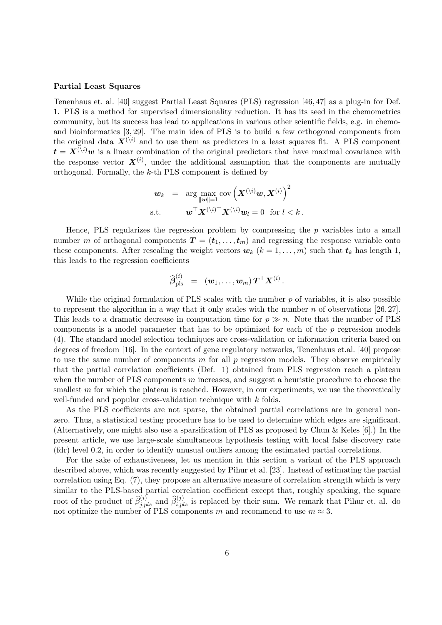#### Partial Least Squares

Tenenhaus et. al. [40] suggest Partial Least Squares (PLS) regression [46, 47] as a plug-in for Def. 1. PLS is a method for supervised dimensionality reduction. It has its seed in the chemometrics community, but its success has lead to applications in various other scientific fields, e.g. in chemoand bioinformatics [3, 29]. The main idea of PLS is to build a few orthogonal components from the original data  $\mathbf{X}^{(\iota)}$  and to use them as predictors in a least squares fit. A PLS component  $t = X^{(\n)}w$  is a linear combination of the original predictors that have maximal covariance with the response vector  $X^{(i)}$ , under the additional assumption that the components are mutually orthogonal. Formally, the k-th PLS component is defined by

$$
\begin{array}{rcl}\boldsymbol{w}_k & = & \arg \max_{\|\boldsymbol{w}\|=1} \mathrm{cov}\left( \boldsymbol{X}^{(\backslash i)} \boldsymbol{w}, \boldsymbol{X}^{(i)} \right)^2\\ \mathrm{s.t.} & & \boldsymbol{w}^\top \boldsymbol{X}^{(\backslash i)\top} \boldsymbol{X}^{(\backslash i)} \boldsymbol{w}_l = 0 ~~ \mathrm{for} ~ l < k \, .\end{array}
$$

Hence, PLS regularizes the regression problem by compressing the  $p$  variables into a small number m of orthogonal components  $T = (t_1, \ldots, t_m)$  and regressing the response variable onto these components. After rescaling the weight vectors  $w_k$   $(k = 1, \ldots, m)$  such that  $t_k$  has length 1, this leads to the regression coefficients

$$
\widehat{\bm{\beta}}_{\text{pls}}^{(i)} \hspace{2mm} = \hspace{2mm} (\bm{w}_1, \ldots, \bm{w}_m) \, \bm{T}^{\top} \bm{X}^{(i)} \, .
$$

While the original formulation of PLS scales with the number  $p$  of variables, it is also possible to represent the algorithm in a way that it only scales with the number n of observations [26, 27]. This leads to a dramatic decrease in computation time for  $p \gg n$ . Note that the number of PLS components is a model parameter that has to be optimized for each of the  $p$  regression models (4). The standard model selection techniques are cross-validation or information criteria based on degrees of freedom [16]. In the context of gene regulatory networks, Tenenhaus et.al. [40] propose to use the same number of components  $m$  for all  $p$  regression models. They observe empirically that the partial correlation coefficients (Def. 1) obtained from PLS regression reach a plateau when the number of PLS components  $m$  increases, and suggest a heuristic procedure to choose the smallest  $m$  for which the plateau is reached. However, in our experiments, we use the theoretically well-funded and popular cross-validation technique with k folds.

As the PLS coefficients are not sparse, the obtained partial correlations are in general nonzero. Thus, a statistical testing procedure has to be used to determine which edges are significant. (Alternatively, one might also use a sparsification of PLS as proposed by Chun & Keles [6].) In the present article, we use large-scale simultaneous hypothesis testing with local false discovery rate (fdr) level 0.2, in order to identify unusual outliers among the estimated partial correlations.

For the sake of exhaustiveness, let us mention in this section a variant of the PLS approach described above, which was recently suggested by Pihur et al. [23]. Instead of estimating the partial correlation using Eq.  $(7)$ , they propose an alternative measure of correlation strength which is very similar to the PLS-based partial correlation coefficient except that, roughly speaking, the square root of the product of  $\hat{\beta}_{j,pls}^{(i)}$  and  $\hat{\beta}_{i,pls}^{(j)}$  is replaced by their sum. We remark that Pihur et. al. do not optimize the number of PLS components m and recommend to use  $m \approx 3$ .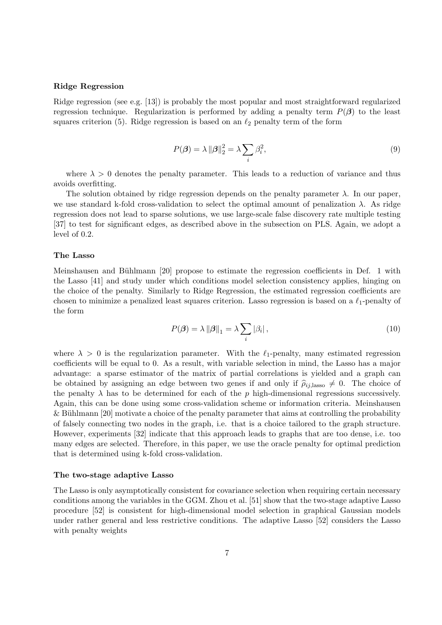#### Ridge Regression

Ridge regression (see e.g. [13]) is probably the most popular and most straightforward regularized regression technique. Regularization is performed by adding a penalty term  $P(\beta)$  to the least squares criterion (5). Ridge regression is based on an  $\ell_2$  penalty term of the form

$$
P(\boldsymbol{\beta}) = \lambda \left\| \boldsymbol{\beta} \right\|_2^2 = \lambda \sum_i \beta_i^2,\tag{9}
$$

where  $\lambda > 0$  denotes the penalty parameter. This leads to a reduction of variance and thus avoids overfitting.

The solution obtained by ridge regression depends on the penalty parameter  $\lambda$ . In our paper, we use standard k-fold cross-validation to select the optimal amount of penalization  $\lambda$ . As ridge regression does not lead to sparse solutions, we use large-scale false discovery rate multiple testing [37] to test for significant edges, as described above in the subsection on PLS. Again, we adopt a level of 0.2.

#### The Lasso

Meinshausen and Bühlmann [20] propose to estimate the regression coefficients in Def. 1 with the Lasso [41] and study under which conditions model selection consistency applies, hinging on the choice of the penalty. Similarly to Ridge Regression, the estimated regression coefficients are chosen to minimize a penalized least squares criterion. Lasso regression is based on a  $\ell_1$ -penalty of the form

$$
P(\boldsymbol{\beta}) = \lambda \left\| \boldsymbol{\beta} \right\|_1 = \lambda \sum_i |\beta_i| \,, \tag{10}
$$

where  $\lambda > 0$  is the regularization parameter. With the  $\ell_1$ -penalty, many estimated regression coefficients will be equal to 0. As a result, with variable selection in mind, the Lasso has a major advantage: a sparse estimator of the matrix of partial correlations is yielded and a graph can be obtained by assigning an edge between two genes if and only if  $\hat{\rho}_{ij,lasso} \neq 0$ . The choice of the penalty  $\lambda$  has to be determined for each of the p high-dimensional regressions successively. Again, this can be done using some cross-validation scheme or information criteria. Meinshausen  $&$  Bühlmann [20] motivate a choice of the penalty parameter that aims at controlling the probability of falsely connecting two nodes in the graph, i.e. that is a choice tailored to the graph structure. However, experiments [32] indicate that this approach leads to graphs that are too dense, i.e. too many edges are selected. Therefore, in this paper, we use the oracle penalty for optimal prediction that is determined using k-fold cross-validation.

#### The two-stage adaptive Lasso

The Lasso is only asymptotically consistent for covariance selection when requiring certain necessary conditions among the variables in the GGM. Zhou et al. [51] show that the two-stage adaptive Lasso procedure [52] is consistent for high-dimensional model selection in graphical Gaussian models under rather general and less restrictive conditions. The adaptive Lasso [52] considers the Lasso with penalty weights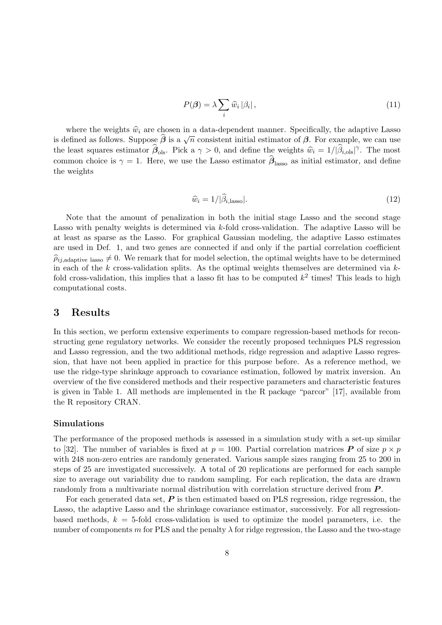$$
P(\boldsymbol{\beta}) = \lambda \sum_{i} \widehat{w}_{i} |\beta_{i}|, \qquad (11)
$$

where the weights  $\hat{w}_i$  are chosen in a data-dependent manner. Specifically, the adaptive Lasso is defined as follows. Suppose  $\hat{\beta}$  is a  $\sqrt{n}$  consistent initial estimator of  $\beta$ . For example, we can use the least squares estimator  $\hat{\boldsymbol{\beta}}_{ols}$ . Pick a  $\gamma > 0$ , and define the weights  $\hat{w}_i = 1/|\hat{\beta}_{i,ols}|^{\gamma}$ . The most common choice is  $\gamma = 1$ . Here, we use the Lasso estimator  $\beta_{\text{lasso}}$  as initial estimator, and define the weights

$$
\widehat{w}_i = 1/|\widehat{\beta}_{i,\text{lasso}}|.\tag{12}
$$

Note that the amount of penalization in both the initial stage Lasso and the second stage Lasso with penalty weights is determined via  $k$ -fold cross-validation. The adaptive Lasso will be at least as sparse as the Lasso. For graphical Gaussian modeling, the adaptive Lasso estimates are used in Def. 1, and two genes are connected if and only if the partial correlation coefficient  $\hat{\rho}_{i,i,\text{adaptive lasso}} \neq 0.$  We remark that for model selection, the optimal weights have to be determined in each of the  $k$  cross-validation splits. As the optimal weights themselves are determined via  $k$ fold cross-validation, this implies that a lasso fit has to be computed  $k^2$  times! This leads to high computational costs.

### 3 Results

In this section, we perform extensive experiments to compare regression-based methods for reconstructing gene regulatory networks. We consider the recently proposed techniques PLS regression and Lasso regression, and the two additional methods, ridge regression and adaptive Lasso regression, that have not been applied in practice for this purpose before. As a reference method, we use the ridge-type shrinkage approach to covariance estimation, followed by matrix inversion. An overview of the five considered methods and their respective parameters and characteristic features is given in Table 1. All methods are implemented in the R package "parcor" [17], available from the R repository CRAN.

#### Simulations

The performance of the proposed methods is assessed in a simulation study with a set-up similar to [32]. The number of variables is fixed at  $p = 100$ . Partial correlation matrices **P** of size  $p \times p$ with 248 non-zero entries are randomly generated. Various sample sizes ranging from 25 to 200 in steps of 25 are investigated successively. A total of 20 replications are performed for each sample size to average out variability due to random sampling. For each replication, the data are drawn randomly from a multivariate normal distribution with correlation structure derived from  $P$ .

For each generated data set,  $P$  is then estimated based on PLS regression, ridge regression, the Lasso, the adaptive Lasso and the shrinkage covariance estimator, successively. For all regressionbased methods,  $k = 5$ -fold cross-validation is used to optimize the model parameters, i.e. the number of components m for PLS and the penalty  $\lambda$  for ridge regression, the Lasso and the two-stage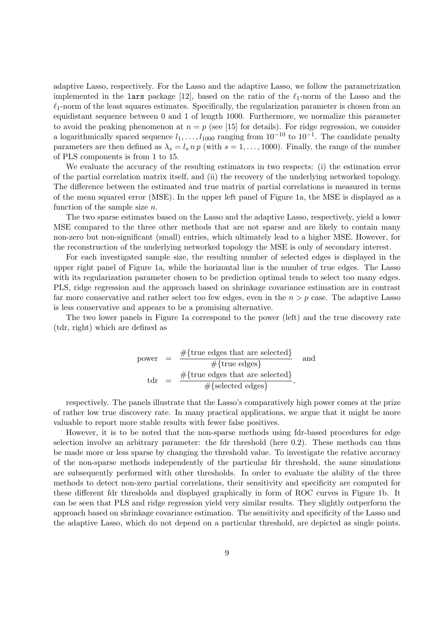adaptive Lasso, respectively. For the Lasso and the adaptive Lasso, we follow the parametrization implemented in the lars package [12], based on the ratio of the  $\ell_1$ -norm of the Lasso and the  $\ell_1$ -norm of the least squares estimates. Specifically, the regularization parameter is chosen from an equidistant sequence between 0 and 1 of length 1000. Furthermore, we normalize this parameter to avoid the peaking phenomenon at  $n = p$  (see [15] for details). For ridge regression, we consider a logarithmically spaced sequence  $l_1, \ldots, l_{1000}$  ranging from  $10^{-10}$  to  $10^{-1}$ . The candidate penalty parameters are then defined as  $\lambda_s = l_s n p$  (with  $s = 1, \ldots, 1000$ ). Finally, the range of the number of PLS components is from 1 to 15.

We evaluate the accuracy of the resulting estimators in two respects: (i) the estimation error of the partial correlation matrix itself, and (ii) the recovery of the underlying networked topology. The difference between the estimated and true matrix of partial correlations is measured in terms of the mean squared error (MSE). In the upper left panel of Figure 1a, the MSE is displayed as a function of the sample size  $n$ .

The two sparse estimates based on the Lasso and the adaptive Lasso, respectively, yield a lower MSE compared to the three other methods that are not sparse and are likely to contain many non-zero but non-significant (small) entries, which ultimately lead to a higher MSE. However, for the reconstruction of the underlying networked topology the MSE is only of secondary interest.

For each investigated sample size, the resulting number of selected edges is displayed in the upper right panel of Figure 1a, while the horizontal line is the number of true edges. The Lasso with its regularization parameter chosen to be prediction optimal tends to select too many edges. PLS, ridge regression and the approach based on shrinkage covariance estimation are in contrast far more conservative and rather select too few edges, even in the  $n > p$  case. The adaptive Lasso is less conservative and appears to be a promising alternative.

The two lower panels in Figure 1a correspond to the power (left) and the true discovery rate (tdr, right) which are defined as

power = 
$$
\frac{\# \{\text{true edges that are selected}\}}{\# \{\text{true edges}\}}
$$
 and  
tdr =  $\frac{\# \{\text{true edges that are selected}\}}{\# \{\text{selected edges}\}}$ ,

respectively. The panels illustrate that the Lasso's comparatively high power comes at the prize of rather low true discovery rate. In many practical applications, we argue that it might be more valuable to report more stable results with fewer false positives.

However, it is to be noted that the non-sparse methods using fdr-based procedures for edge selection involve an arbitrary parameter: the fdr threshold (here 0.2). These methods can thus be made more or less sparse by changing the threshold value. To investigate the relative accuracy of the non-sparse methods independently of the particular fdr threshold, the same simulations are subsequently performed with other thresholds. In order to evaluate the ability of the three methods to detect non-zero partial correlations, their sensitivity and specificity are computed for these different fdr thresholds and displayed graphically in form of ROC curves in Figure 1b. It can be seen that PLS and ridge regression yield very similar results. They slightly outperform the approach based on shrinkage covariance estimation. The sensitivity and specificity of the Lasso and the adaptive Lasso, which do not depend on a particular threshold, are depicted as single points.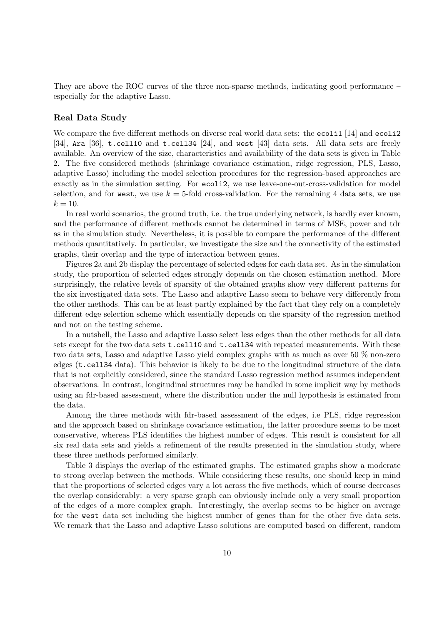They are above the ROC curves of the three non-sparse methods, indicating good performance – especially for the adaptive Lasso.

#### Real Data Study

We compare the five different methods on diverse real world data sets: the ecoli1 [14] and ecoli2 [34], Ara [36], t.cell10 and t.cell34 [24], and west [43] data sets. All data sets are freely available. An overview of the size, characteristics and availability of the data sets is given in Table 2. The five considered methods (shrinkage covariance estimation, ridge regression, PLS, Lasso, adaptive Lasso) including the model selection procedures for the regression-based approaches are exactly as in the simulation setting. For ecoli2, we use leave-one-out-cross-validation for model selection, and for west, we use  $k = 5$ -fold cross-validation. For the remaining 4 data sets, we use  $k = 10$ .

In real world scenarios, the ground truth, i.e. the true underlying network, is hardly ever known, and the performance of different methods cannot be determined in terms of MSE, power and tdr as in the simulation study. Nevertheless, it is possible to compare the performance of the different methods quantitatively. In particular, we investigate the size and the connectivity of the estimated graphs, their overlap and the type of interaction between genes.

Figures 2a and 2b display the percentage of selected edges for each data set. As in the simulation study, the proportion of selected edges strongly depends on the chosen estimation method. More surprisingly, the relative levels of sparsity of the obtained graphs show very different patterns for the six investigated data sets. The Lasso and adaptive Lasso seem to behave very differently from the other methods. This can be at least partly explained by the fact that they rely on a completely different edge selection scheme which essentially depends on the sparsity of the regression method and not on the testing scheme.

In a nutshell, the Lasso and adaptive Lasso select less edges than the other methods for all data sets except for the two data sets  $t$ .cell10 and  $t$ .cell34 with repeated measurements. With these two data sets, Lasso and adaptive Lasso yield complex graphs with as much as over 50 % non-zero edges (t.cell34 data). This behavior is likely to be due to the longitudinal structure of the data that is not explicitly considered, since the standard Lasso regression method assumes independent observations. In contrast, longitudinal structures may be handled in some implicit way by methods using an fdr-based assessment, where the distribution under the null hypothesis is estimated from the data.

Among the three methods with fdr-based assessment of the edges, i.e PLS, ridge regression and the approach based on shrinkage covariance estimation, the latter procedure seems to be most conservative, whereas PLS identifies the highest number of edges. This result is consistent for all six real data sets and yields a refinement of the results presented in the simulation study, where these three methods performed similarly.

Table 3 displays the overlap of the estimated graphs. The estimated graphs show a moderate to strong overlap between the methods. While considering these results, one should keep in mind that the proportions of selected edges vary a lot across the five methods, which of course decreases the overlap considerably: a very sparse graph can obviously include only a very small proportion of the edges of a more complex graph. Interestingly, the overlap seems to be higher on average for the west data set including the highest number of genes than for the other five data sets. We remark that the Lasso and adaptive Lasso solutions are computed based on different, random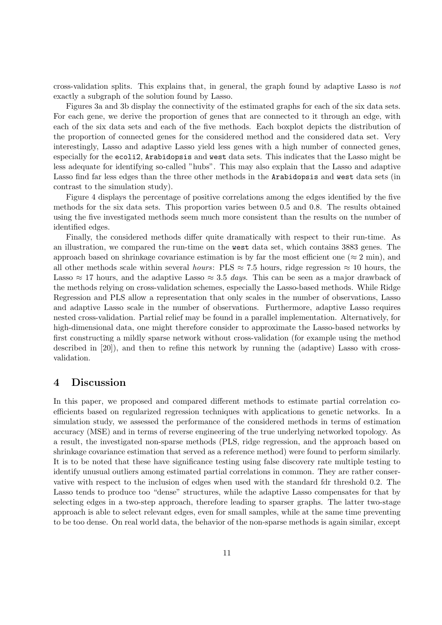cross-validation splits. This explains that, in general, the graph found by adaptive Lasso is not exactly a subgraph of the solution found by Lasso.

Figures 3a and 3b display the connectivity of the estimated graphs for each of the six data sets. For each gene, we derive the proportion of genes that are connected to it through an edge, with each of the six data sets and each of the five methods. Each boxplot depicts the distribution of the proportion of connected genes for the considered method and the considered data set. Very interestingly, Lasso and adaptive Lasso yield less genes with a high number of connected genes, especially for the ecoli2, Arabidopsis and west data sets. This indicates that the Lasso might be less adequate for identifying so-called "hubs". This may also explain that the Lasso and adaptive Lasso find far less edges than the three other methods in the Arabidopsis and west data sets (in contrast to the simulation study).

Figure 4 displays the percentage of positive correlations among the edges identified by the five methods for the six data sets. This proportion varies between 0.5 and 0.8. The results obtained using the five investigated methods seem much more consistent than the results on the number of identified edges.

Finally, the considered methods differ quite dramatically with respect to their run-time. As an illustration, we compared the run-time on the west data set, which contains 3883 genes. The approach based on shrinkage covariance estimation is by far the most efficient one ( $\approx 2$  min), and all other methods scale within several hours: PLS  $\approx 7.5$  hours, ridge regression  $\approx 10$  hours, the Lasso  $\approx$  17 hours, and the adaptive Lasso  $\approx$  3.5 *days*. This can be seen as a major drawback of the methods relying on cross-validation schemes, especially the Lasso-based methods. While Ridge Regression and PLS allow a representation that only scales in the number of observations, Lasso and adaptive Lasso scale in the number of observations. Furthermore, adaptive Lasso requires nested cross-validation. Partial relief may be found in a parallel implementation. Alternatively, for high-dimensional data, one might therefore consider to approximate the Lasso-based networks by first constructing a mildly sparse network without cross-validation (for example using the method described in [20]), and then to refine this network by running the (adaptive) Lasso with crossvalidation.

#### 4 Discussion

In this paper, we proposed and compared different methods to estimate partial correlation coefficients based on regularized regression techniques with applications to genetic networks. In a simulation study, we assessed the performance of the considered methods in terms of estimation accuracy (MSE) and in terms of reverse engineering of the true underlying networked topology. As a result, the investigated non-sparse methods (PLS, ridge regression, and the approach based on shrinkage covariance estimation that served as a reference method) were found to perform similarly. It is to be noted that these have significance testing using false discovery rate multiple testing to identify unusual outliers among estimated partial correlations in common. They are rather conservative with respect to the inclusion of edges when used with the standard fdr threshold 0.2. The Lasso tends to produce too "dense" structures, while the adaptive Lasso compensates for that by selecting edges in a two-step approach, therefore leading to sparser graphs. The latter two-stage approach is able to select relevant edges, even for small samples, while at the same time preventing to be too dense. On real world data, the behavior of the non-sparse methods is again similar, except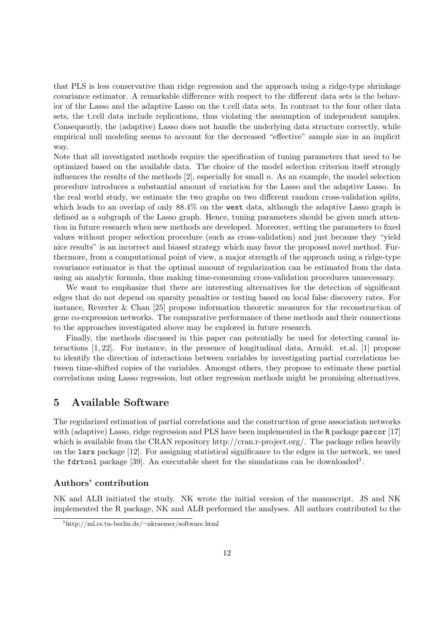that PLS is less conservative than ridge regression and the approach using a ridge-type shrinkage covariance estimator. A remarkable difference with respect to the different data sets is the behavior of the Lasso and the adaptive Lasso on the t.cell data sets. In contrast to the four other data sets, the t.cell data include replications, thus violating the assumption of independent samples. Consequently, the (adaptive) Lasso does not handle the underlying data structure correctly, while empirical null modeling seems to account for the decreased "effective" sample size in an implicit way.

Note that all investigated methods require the specification of tuning parameters that need to be optimized based on the available data. The choice of the model selection criterion itself strongly influences the results of the methods  $[2]$ , especially for small n. As an example, the model selection procedure introduces a substantial amount of variation for the Lasso and the adaptive Lasso. In the real world study, we estimate the two graphs on two different random cross-validation splits, which leads to an overlap of only  $88.4\%$  on the west data, although the adaptive Lasso graph is defined as a subgraph of the Lasso graph. Hence, tuning parameters should be given much attention in future research when new methods are developed. Moreover, setting the parameters to fixed values without proper selection procedure (such as cross-validation) and just because they "yield nice results" is an incorrect and biased strategy which may favor the proposed novel method. Furthermore, from a computational point of view, a major strength of the approach using a ridge-type covariance estimator is that the optimal amount of regularization can be estimated from the data using an analytic formula, thus making time-consuming cross-validation procedures unnecessary.

We want to emphasize that there are interesting alternatives for the detection of significant edges that do not depend on sparsity penalties or testing based on local false discovery rates. For instance, Reverter & Chan [25] propose information theoretic measures for the reconstruction of gene co-expression networks. The comparative performance of these methods and their connections to the approaches investigated above may be explored in future research.

Finally, the methods discussed in this paper can potentially be used for detecting causal interactions [1, 22]. For instance, in the presence of longitudinal data, Arnold. et.al. [1] propose to identify the direction of interactions between variables by investigating partial correlations between time-shifted copies of the variables. Amongst others, they propose to estimate these partial correlations using Lasso regression, but other regression methods might be promising alternatives.

## 5 Available Software

The regularized estimation of partial correlations and the construction of gene association networks with (adaptive) Lasso, ridge regression and PLS have been implemented in the R package parcor [17] which is available from the CRAN repository http://cran.r-project.org/. The package relies heavily on the lars package [12]. For assigning statistical significance to the edges in the network, we used the fdrtool package [39]. An executable sheet for the simulations can be downloaded<sup>1</sup>.

#### Authors' contribution

NK and ALB initiated the study. NK wrote the initial version of the manuscript. JS and NK implemented the R package, NK and ALB performed the analyses. All authors contributed to the

<sup>1</sup>http://ml.cs.tu-berlin.de/∼nkraemer/software.html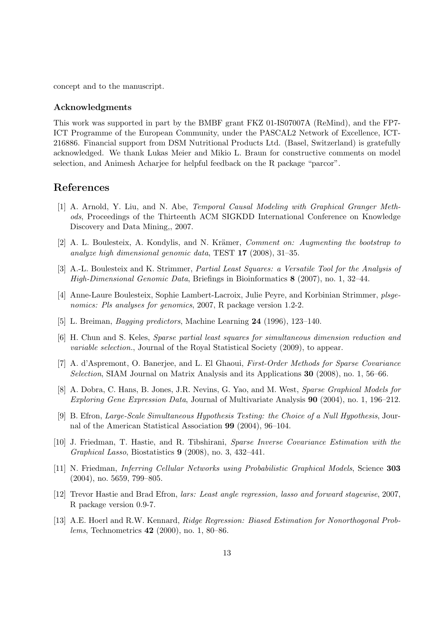concept and to the manuscript.

#### Acknowledgments

This work was supported in part by the BMBF grant FKZ 01-IS07007A (ReMind), and the FP7- ICT Programme of the European Community, under the PASCAL2 Network of Excellence, ICT-216886. Financial support from DSM Nutritional Products Ltd. (Basel, Switzerland) is gratefully acknowledged. We thank Lukas Meier and Mikio L. Braun for constructive comments on model selection, and Animesh Acharjee for helpful feedback on the R package "parcor".

#### References

- [1] A. Arnold, Y. Liu, and N. Abe, Temporal Causal Modeling with Graphical Granger Methods, Proceedings of the Thirteenth ACM SIGKDD International Conference on Knowledge Discovery and Data Mining,, 2007.
- [2] A. L. Boulesteix, A. Kondylis, and N. Krämer, *Comment on: Augmenting the bootstrap to* analyze high dimensional genomic data, TEST 17 (2008), 31–35.
- [3] A.-L. Boulesteix and K. Strimmer, Partial Least Squares: a Versatile Tool for the Analysis of High-Dimensional Genomic Data, Briefings in Bioinformatics 8 (2007), no. 1, 32–44.
- [4] Anne-Laure Boulesteix, Sophie Lambert-Lacroix, Julie Peyre, and Korbinian Strimmer, plsgenomics: Pls analyses for genomics, 2007, R package version 1.2-2.
- [5] L. Breiman, Bagging predictors, Machine Learning 24 (1996), 123–140.
- [6] H. Chun and S. Keles, Sparse partial least squares for simultaneous dimension reduction and variable selection., Journal of the Royal Statistical Society (2009), to appear.
- [7] A. d'Aspremont, O. Banerjee, and L. El Ghaoui, First-Order Methods for Sparse Covariance Selection, SIAM Journal on Matrix Analysis and its Applications 30 (2008), no. 1, 56–66.
- [8] A. Dobra, C. Hans, B. Jones, J.R. Nevins, G. Yao, and M. West, Sparse Graphical Models for Exploring Gene Expression Data, Journal of Multivariate Analysis 90 (2004), no. 1, 196–212.
- [9] B. Efron, Large-Scale Simultaneous Hypothesis Testing: the Choice of a Null Hypothesis, Journal of the American Statistical Association 99 (2004), 96–104.
- [10] J. Friedman, T. Hastie, and R. Tibshirani, Sparse Inverse Covariance Estimation with the Graphical Lasso, Biostatistics 9 (2008), no. 3, 432–441.
- [11] N. Friedman, Inferring Cellular Networks using Probabilistic Graphical Models, Science 303 (2004), no. 5659, 799–805.
- [12] Trevor Hastie and Brad Efron, lars: Least angle regression, lasso and forward stagewise, 2007, R package version 0.9-7.
- [13] A.E. Hoerl and R.W. Kennard, Ridge Regression: Biased Estimation for Nonorthogonal Problems, Technometrics 42 (2000), no. 1, 80–86.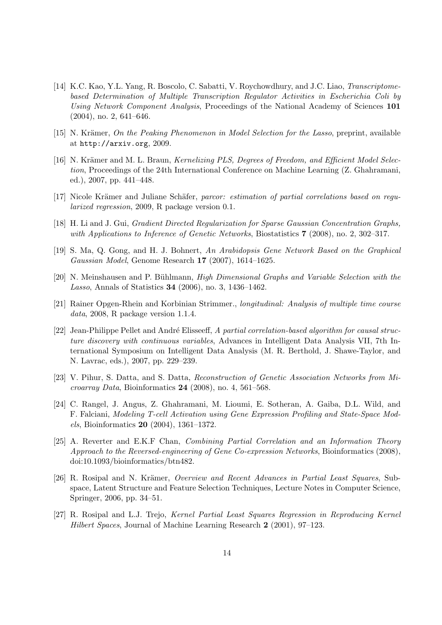- [14] K.C. Kao, Y.L. Yang, R. Boscolo, C. Sabatti, V. Roychowdhury, and J.C. Liao, Transcriptomebased Determination of Multiple Transcription Regulator Activities in Escherichia Coli by Using Network Component Analysis, Proceedings of the National Academy of Sciences 101 (2004), no. 2, 641–646.
- [15] N. Krämer, On the Peaking Phenomenon in Model Selection for the Lasso, preprint, available at http://arxiv.org, 2009.
- [16] N. Krämer and M. L. Braun, *Kernelizing PLS, Degrees of Freedom, and Efficient Model Selec*tion, Proceedings of the 24th International Conference on Machine Learning (Z. Ghahramani, ed.), 2007, pp. 441–448.
- [17] Nicole Krämer and Juliane Schäfer, parcor: estimation of partial correlations based on reqularized regression, 2009, R package version 0.1.
- [18] H. Li and J. Gui, Gradient Directed Regularization for Sparse Gaussian Concentration Graphs, with Applications to Inference of Genetic Networks, Biostatistics 7 (2008), no. 2, 302–317.
- [19] S. Ma, Q. Gong, and H. J. Bohnert, An Arabidopsis Gene Network Based on the Graphical Gaussian Model, Genome Research 17 (2007), 1614–1625.
- [20] N. Meinshausen and P. Bühlmann, *High Dimensional Graphs and Variable Selection with the* Lasso, Annals of Statistics 34 (2006), no. 3, 1436–1462.
- [21] Rainer Opgen-Rhein and Korbinian Strimmer., longitudinal: Analysis of multiple time course data, 2008, R package version 1.1.4.
- [22] Jean-Philippe Pellet and André Elisseeff, A partial correlation-based algorithm for causal structure discovery with continuous variables, Advances in Intelligent Data Analysis VII, 7th International Symposium on Intelligent Data Analysis (M. R. Berthold, J. Shawe-Taylor, and N. Lavrac, eds.), 2007, pp. 229–239.
- [23] V. Pihur, S. Datta, and S. Datta, Reconstruction of Genetic Association Networks from Microarray Data, Bioinformatics  $24$  (2008), no. 4, 561–568.
- [24] C. Rangel, J. Angus, Z. Ghahramani, M. Lioumi, E. Sotheran, A. Gaiba, D.L. Wild, and F. Falciani, Modeling T-cell Activation using Gene Expression Profiling and State-Space Models, Bioinformatics 20 (2004), 1361–1372.
- [25] A. Reverter and E.K.F Chan, Combining Partial Correlation and an Information Theory Approach to the Reversed-engineering of Gene Co-expression Networks, Bioinformatics (2008), doi:10.1093/bioinformatics/btn482.
- [26] R. Rosipal and N. Krämer, Overview and Recent Advances in Partial Least Squares, Subspace, Latent Structure and Feature Selection Techniques, Lecture Notes in Computer Science, Springer, 2006, pp. 34–51.
- [27] R. Rosipal and L.J. Trejo, Kernel Partial Least Squares Regression in Reproducing Kernel Hilbert Spaces, Journal of Machine Learning Research 2 (2001), 97–123.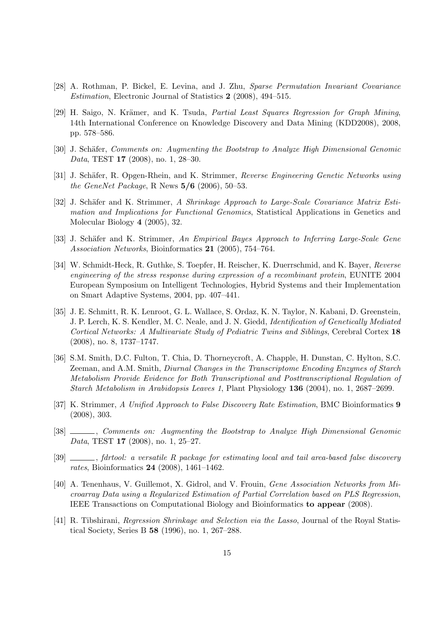- [28] A. Rothman, P. Bickel, E. Levina, and J. Zhu, Sparse Permutation Invariant Covariance Estimation, Electronic Journal of Statistics 2 (2008), 494–515.
- [29] H. Saigo, N. Krämer, and K. Tsuda, *Partial Least Squares Regression for Graph Mining*, 14th International Conference on Knowledge Discovery and Data Mining (KDD2008), 2008, pp. 578–586.
- [30] J. Schäfer, Comments on: Augmenting the Bootstrap to Analyze High Dimensional Genomic Data, TEST 17 (2008), no. 1, 28–30.
- [31] J. Schäfer, R. Opgen-Rhein, and K. Strimmer, Reverse Engineering Genetic Networks using the GeneNet Package, R News  $5/6$  (2006), 50-53.
- [32] J. Schäfer and K. Strimmer, A Shrinkage Approach to Large-Scale Covariance Matrix Estimation and Implications for Functional Genomics, Statistical Applications in Genetics and Molecular Biology 4 (2005), 32.
- [33] J. Schäfer and K. Strimmer, An Empirical Bayes Approach to Inferring Large-Scale Gene Association Networks, Bioinformatics 21 (2005), 754–764.
- [34] W. Schmidt-Heck, R. Guthke, S. Toepfer, H. Reischer, K. Duerrschmid, and K. Bayer, Reverse engineering of the stress response during expression of a recombinant protein, EUNITE 2004 European Symposium on Intelligent Technologies, Hybrid Systems and their Implementation on Smart Adaptive Systems, 2004, pp. 407–441.
- [35] J. E. Schmitt, R. K. Lenroot, G. L. Wallace, S. Ordaz, K. N. Taylor, N. Kabani, D. Greenstein, J. P. Lerch, K. S. Kendler, M. C. Neale, and J. N. Giedd, Identification of Genetically Mediated Cortical Networks: A Multivariate Study of Pediatric Twins and Siblings, Cerebral Cortex 18 (2008), no. 8, 1737–1747.
- [36] S.M. Smith, D.C. Fulton, T. Chia, D. Thorneycroft, A. Chapple, H. Dunstan, C. Hylton, S.C. Zeeman, and A.M. Smith, Diurnal Changes in the Transcriptome Encoding Enzymes of Starch Metabolism Provide Evidence for Both Transcriptional and Posttranscriptional Regulation of Starch Metabolism in Arabidopsis Leaves 1, Plant Physiology 136 (2004), no. 1, 2687–2699.
- [37] K. Strimmer, A Unified Approach to False Discovery Rate Estimation, BMC Bioinformatics 9 (2008), 303.
- [38] Comments on: Augmenting the Bootstrap to Analyze High Dimensional Genomic Data, TEST 17 (2008), no. 1, 25–27.
- [39]  $\_\_\_\$ , fdrtool: a versatile R package for estimating local and tail area-based false discovery rates, Bioinformatics 24 (2008), 1461–1462.
- [40] A. Tenenhaus, V. Guillemot, X. Gidrol, and V. Frouin, Gene Association Networks from Microarray Data using a Regularized Estimation of Partial Correlation based on PLS Regression, IEEE Transactions on Computational Biology and Bioinformatics to appear (2008).
- [41] R. Tibshirani, Regression Shrinkage and Selection via the Lasso, Journal of the Royal Statistical Society, Series B 58 (1996), no. 1, 267–288.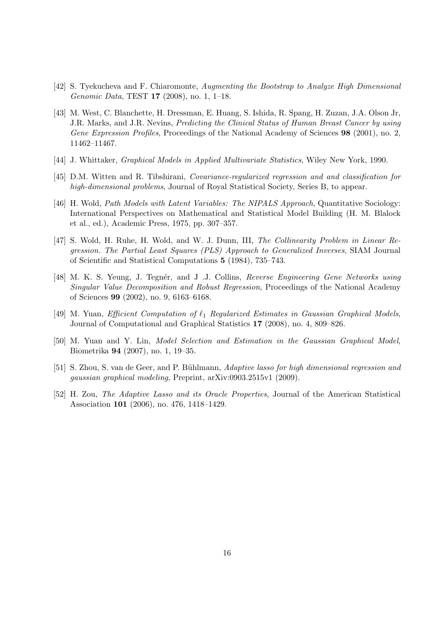- [42] S. Tyekucheva and F. Chiaromonte, Augmenting the Bootstrap to Analyze High Dimensional Genomic Data, TEST 17 (2008), no. 1, 1–18.
- [43] M. West, C. Blanchette, H. Dressman, E. Huang, S. Ishida, R. Spang, H. Zuzan, J.A. Olson Jr, J.R. Marks, and J.R. Nevins, Predicting the Clinical Status of Human Breast Cancer by using Gene Expression Profiles, Proceedings of the National Academy of Sciences 98 (2001), no. 2, 11462–11467.
- [44] J. Whittaker, Graphical Models in Applied Multivariate Statistics, Wiley New York, 1990.
- [45] D.M. Witten and R. Tibshirani, Covariance-regularized regression and and classification for high-dimensional problems, Journal of Royal Statistical Society, Series B, to appear.
- [46] H. Wold, Path Models with Latent Variables: The NIPALS Approach, Quantitative Sociology: International Perspectives on Mathematical and Statistical Model Building (H. M. Blalock et al., ed.), Academic Press, 1975, pp. 307–357.
- [47] S. Wold, H. Ruhe, H. Wold, and W. J. Dunn, III, The Collinearity Problem in Linear Regression. The Partial Least Squares (PLS) Approach to Generalized Inverses, SIAM Journal of Scientific and Statistical Computations 5 (1984), 735–743.
- [48] M. K. S. Yeung, J. Tegnér, and J. J. Collins, Reverse Engineering Gene Networks using Singular Value Decomposition and Robust Regression, Proceedings of the National Academy of Sciences 99 (2002), no. 9, 6163–6168.
- [49] M. Yuan, Efficient Computation of  $\ell_1$  Regularized Estimates in Gaussian Graphical Models, Journal of Computational and Graphical Statistics 17 (2008), no. 4, 809–826.
- [50] M. Yuan and Y. Lin, Model Selection and Estimation in the Gaussian Graphical Model, Biometrika 94 (2007), no. 1, 19–35.
- [51] S. Zhou, S. van de Geer, and P. Bühlmann, Adaptive lasso for high dimensional regression and gaussian graphical modeling, Preprint, arXiv:0903.2515v1 (2009).
- [52] H. Zou, The Adaptive Lasso and its Oracle Properties, Journal of the American Statistical Association 101 (2006), no. 476, 1418–1429.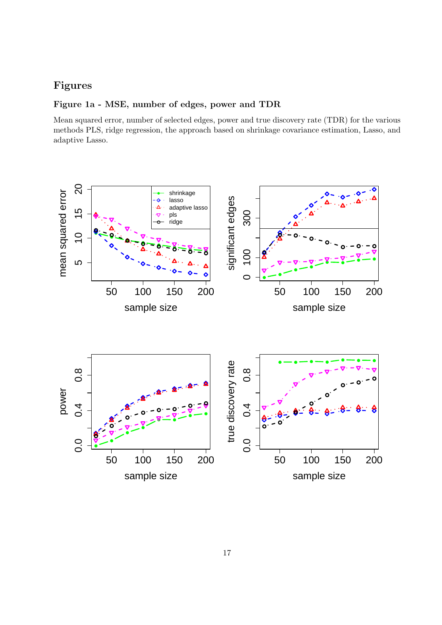## Figures

#### Figure 1a - MSE, number of edges, power and TDR

Mean squared error, number of selected edges, power and true discovery rate (TDR) for the various methods PLS, ridge regression, the approach based on shrinkage covariance estimation, Lasso, and adaptive Lasso.

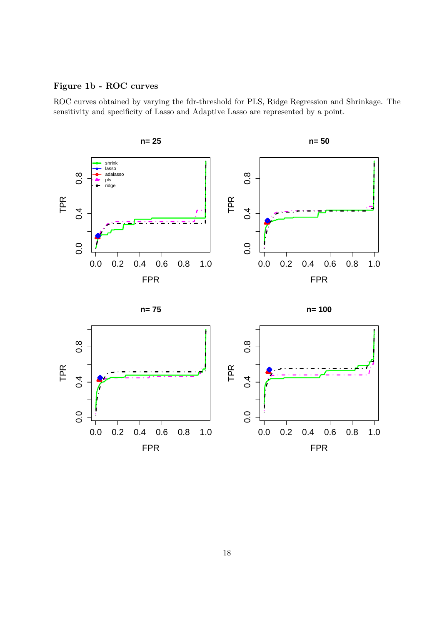## Figure 1b - ROC curves

ROC curves obtained by varying the fdr-threshold for PLS, Ridge Regression and Shrinkage. The sensitivity and specificity of Lasso and Adaptive Lasso are represented by a point.







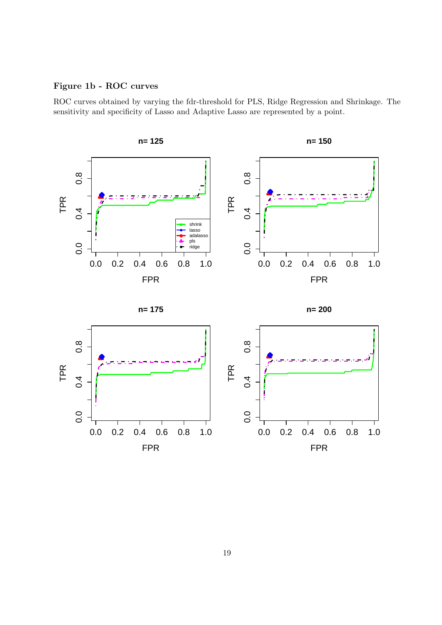## Figure 1b - ROC curves

ROC curves obtained by varying the fdr-threshold for PLS, Ridge Regression and Shrinkage. The sensitivity and specificity of Lasso and Adaptive Lasso are represented by a point.







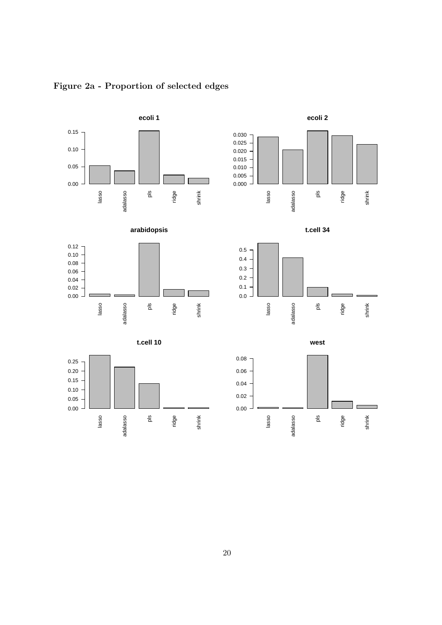

Figure 2a - Proportion of selected edges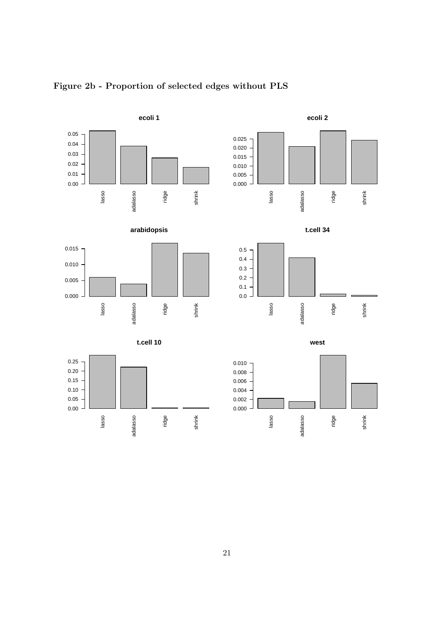

## Figure 2b - Proportion of selected edges without PLS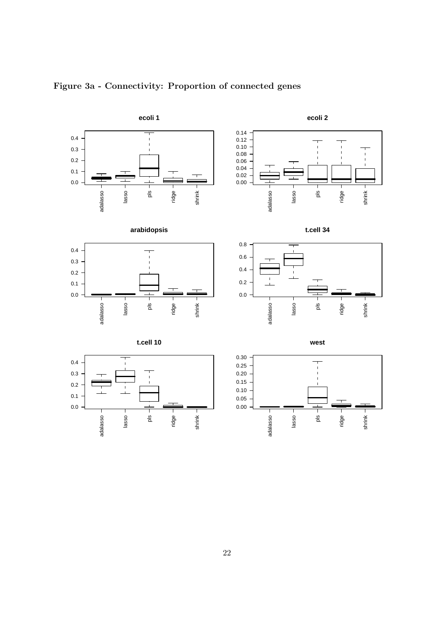

Figure 3a - Connectivity: Proportion of connected genes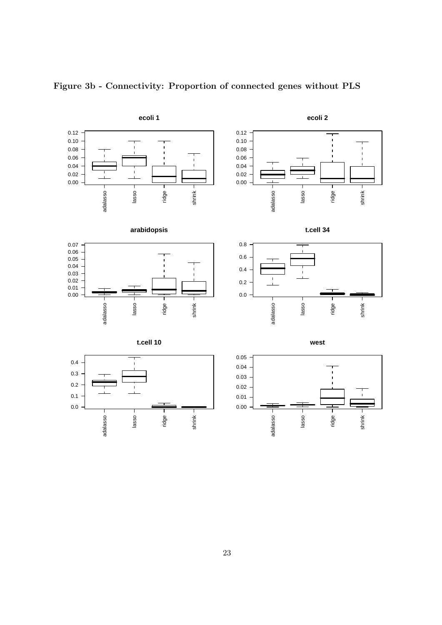

Figure 3b - Connectivity: Proportion of connected genes without PLS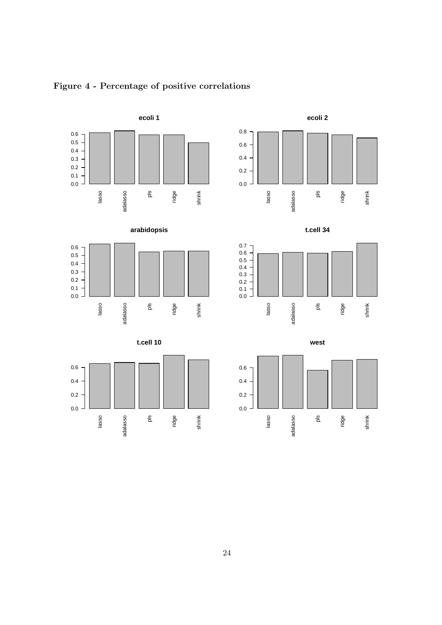

## Figure 4 - Percentage of positive correlations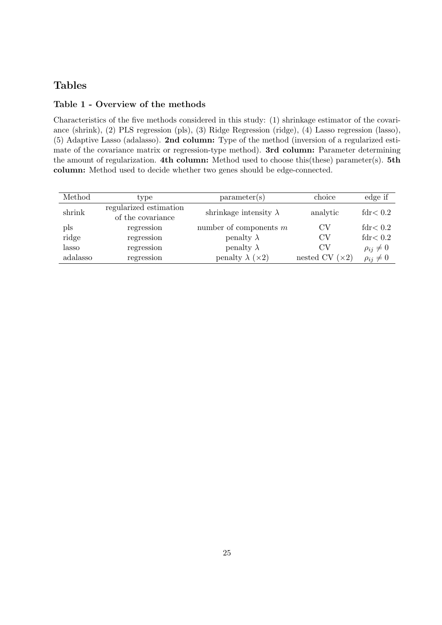## Tables

## Table 1 - Overview of the methods

Characteristics of the five methods considered in this study: (1) shrinkage estimator of the covariance (shrink), (2) PLS regression (pls), (3) Ridge Regression (ridge), (4) Lasso regression (lasso), (5) Adaptive Lasso (adalasso). 2nd column: Type of the method (inversion of a regularized estimate of the covariance matrix or regression-type method). 3rd column: Parameter determining the amount of regularization. 4th column: Method used to choose this(these) parameter(s). 5th column: Method used to decide whether two genes should be edge-connected.

| Method   | type                                        | parameter(s)                    | choice           | edge if            |
|----------|---------------------------------------------|---------------------------------|------------------|--------------------|
| shrink   | regularized estimation<br>of the covariance | shrinkage intensity $\lambda$   | analytic         | fdr $< 0.2$        |
| pls      | regression                                  | number of components $m$        | CV               | fdr $< 0.2$        |
| ridge    | regression                                  | penalty $\lambda$               | CV               | fdr $< 0.2$        |
| lasso    | regression                                  | penalty $\lambda$               | CV               | $\rho_{ij} \neq 0$ |
| adalasso | regression                                  | penalty $\lambda$ ( $\times$ 2) | nested CV $(x2)$ | $\rho_{ij} \neq 0$ |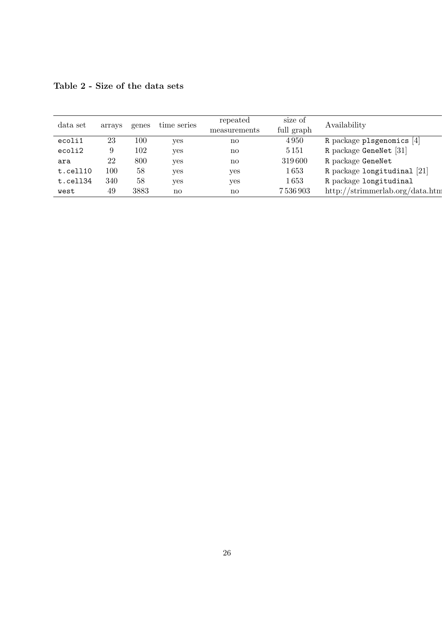Table 2 - Size of the data sets

| data set       | arrays | genes | time series            | repeated               | size of    |                                 |
|----------------|--------|-------|------------------------|------------------------|------------|---------------------------------|
|                |        |       |                        | measurements           | full graph | Availability                    |
| ecoli1         | 23     | 100   | yes                    | $\mathbf{n}$           | 4950       | R package plsgenomics $[4]$     |
| ecoli2         |        | 102   | yes                    | $\mathbf{n}$           | 5 1 5 1    | R package GeneNet [31]          |
| ara            | 22     | 800   | yes                    | $\mathbf{n}$           | 319600     | R package GeneNet               |
| $t.$ cell $10$ | 100    | 58    | yes                    | yes                    | 1653       | R package longitudinal $[21]$   |
| $t.$ cell $34$ | 340    | 58    | yes                    | yes                    | 1653       | R package longitudinal          |
| west           | 49     | 3883  | $\mathop{\mathrm{no}}$ | $\mathbf{n}\mathbf{o}$ | 7536903    | http://strimmerlab.org/data.htm |